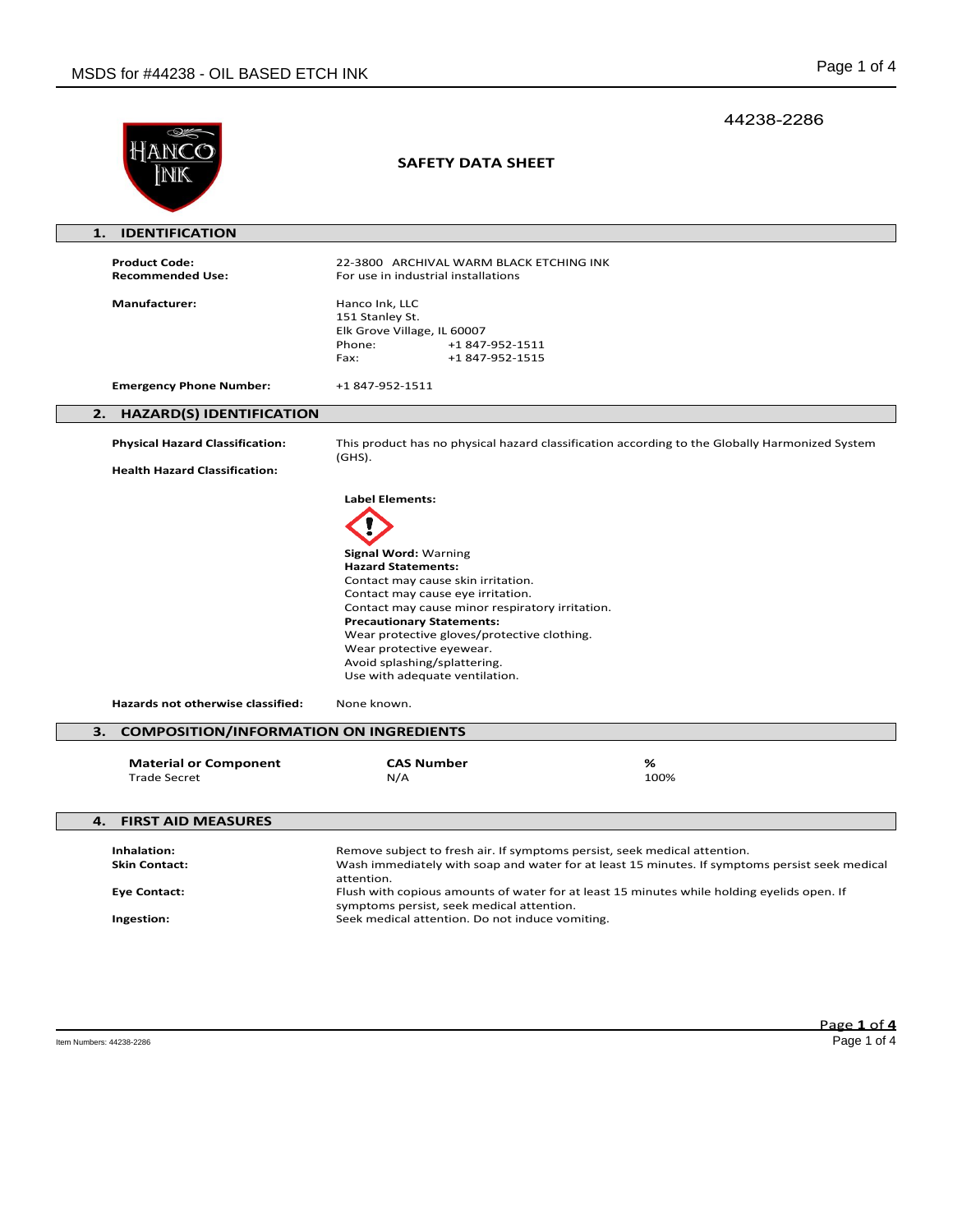|                                                     |                                                                                                                                                                                                                                                                                                                                                                                            | 44238-2286 |
|-----------------------------------------------------|--------------------------------------------------------------------------------------------------------------------------------------------------------------------------------------------------------------------------------------------------------------------------------------------------------------------------------------------------------------------------------------------|------------|
|                                                     | <b>SAFETY DATA SHEET</b>                                                                                                                                                                                                                                                                                                                                                                   |            |
| <b>IDENTIFICATION</b><br>1.                         |                                                                                                                                                                                                                                                                                                                                                                                            |            |
| <b>Product Code:</b><br><b>Recommended Use:</b>     | 22-3800 ARCHIVAL WARM BLACK ETCHING INK<br>For use in industrial installations                                                                                                                                                                                                                                                                                                             |            |
| <b>Manufacturer:</b>                                | Hanco Ink, LLC<br>151 Stanley St.<br>Elk Grove Village, IL 60007<br>Phone:<br>+1 847-952-1511<br>+1847-952-1515<br>Fax:                                                                                                                                                                                                                                                                    |            |
| <b>Emergency Phone Number:</b>                      | +1 847-952-1511                                                                                                                                                                                                                                                                                                                                                                            |            |
| 2.<br><b>HAZARD(S) IDENTIFICATION</b>               |                                                                                                                                                                                                                                                                                                                                                                                            |            |
| <b>Physical Hazard Classification:</b>              | This product has no physical hazard classification according to the Globally Harmonized System<br>$(GHS)$ .                                                                                                                                                                                                                                                                                |            |
| <b>Health Hazard Classification:</b>                |                                                                                                                                                                                                                                                                                                                                                                                            |            |
|                                                     | <b>Label Elements:</b><br>Signal Word: Warning<br><b>Hazard Statements:</b><br>Contact may cause skin irritation.<br>Contact may cause eye irritation.<br>Contact may cause minor respiratory irritation.<br><b>Precautionary Statements:</b><br>Wear protective gloves/protective clothing.<br>Wear protective eyewear.<br>Avoid splashing/splattering.<br>Use with adequate ventilation. |            |
| Hazards not otherwise classified:                   | None known.                                                                                                                                                                                                                                                                                                                                                                                |            |
| <b>COMPOSITION/INFORMATION ON INGREDIENTS</b><br>З. |                                                                                                                                                                                                                                                                                                                                                                                            |            |
| <b>Material or Component</b><br><b>Trade Secret</b> | <b>CAS Number</b><br>N/A                                                                                                                                                                                                                                                                                                                                                                   | %<br>100%  |
| <b>FIRST AID MEASURES</b><br>4.                     |                                                                                                                                                                                                                                                                                                                                                                                            |            |
| Inhalation:<br><b>Skin Contact:</b>                 | Remove subject to fresh air. If symptoms persist, seek medical attention.<br>Wash immediately with soap and water for at least 15 minutes. If symptoms persist seek medical<br>attention.                                                                                                                                                                                                  |            |
| <b>Eye Contact:</b><br>Ingestion:                   | Flush with copious amounts of water for at least 15 minutes while holding eyelids open. If<br>symptoms persist, seek medical attention.<br>Seek medical attention. Do not induce vomiting.                                                                                                                                                                                                 |            |
|                                                     |                                                                                                                                                                                                                                                                                                                                                                                            |            |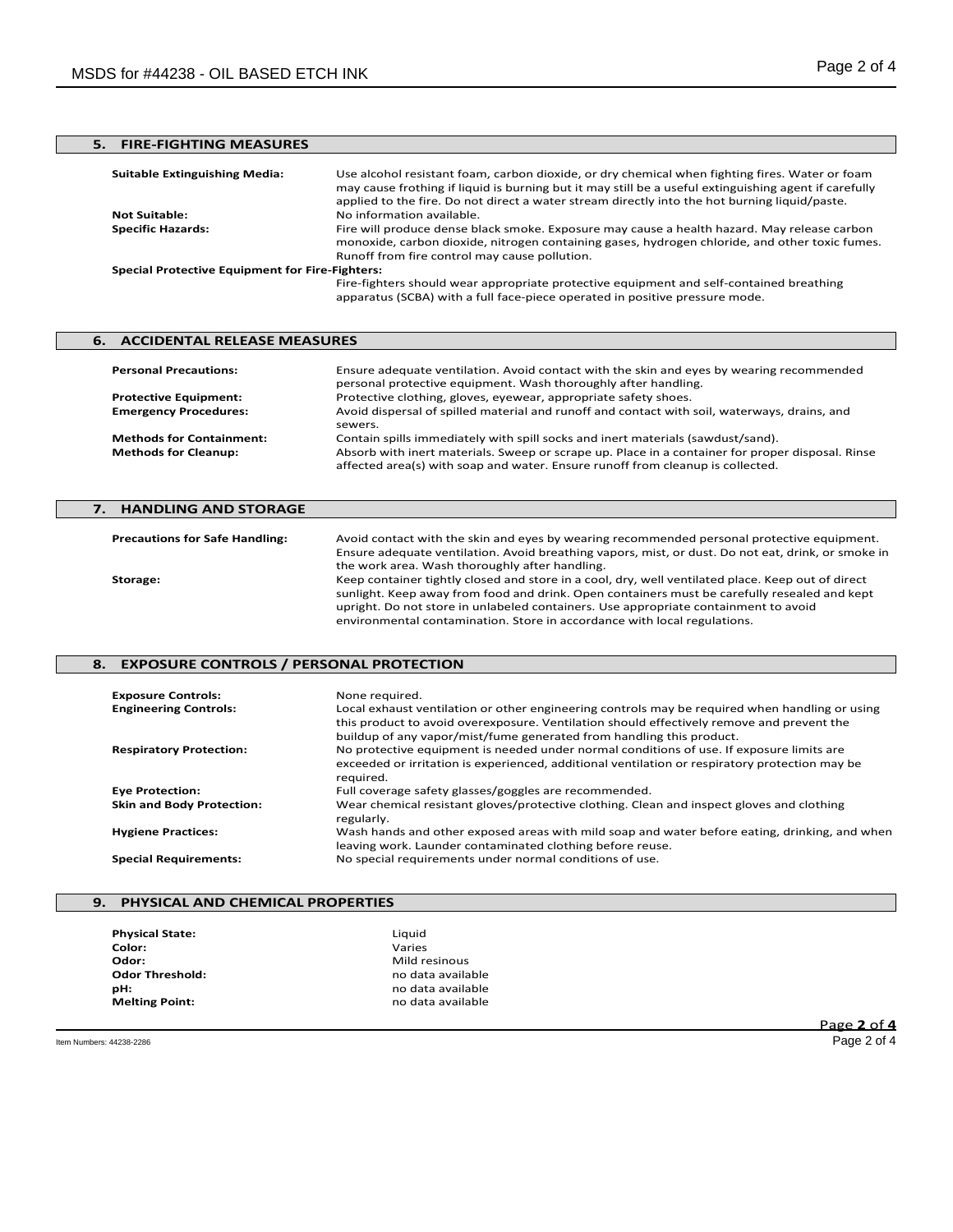# **5. FIRE-FIGHTING MEASURES**

| <b>Suitable Extinguishing Media:</b>                   | Use alcohol resistant foam, carbon dioxide, or dry chemical when fighting fires. Water or foam<br>may cause frothing if liquid is burning but it may still be a useful extinguishing agent if carefully<br>applied to the fire. Do not direct a water stream directly into the hot burning liquid/paste. |  |
|--------------------------------------------------------|----------------------------------------------------------------------------------------------------------------------------------------------------------------------------------------------------------------------------------------------------------------------------------------------------------|--|
| <b>Not Suitable:</b>                                   | No information available.                                                                                                                                                                                                                                                                                |  |
| <b>Specific Hazards:</b>                               | Fire will produce dense black smoke. Exposure may cause a health hazard. May release carbon<br>monoxide, carbon dioxide, nitrogen containing gases, hydrogen chloride, and other toxic fumes.<br>Runoff from fire control may cause pollution.                                                           |  |
| <b>Special Protective Equipment for Fire-Fighters:</b> |                                                                                                                                                                                                                                                                                                          |  |
|                                                        | Fire-fighters should wear appropriate protective equipment and self-contained breathing<br>apparatus (SCBA) with a full face-piece operated in positive pressure mode.                                                                                                                                   |  |

## **6. ACCIDENTAL RELEASE MEASURES Personal Precautions:** Ensure adequate ventilation. Avoid contact with the skin and eyes by wearing recommended personal protective equipment. Wash thoroughly after handling. **Protective Equipment:** Protective clothing, gloves, eyewear, appropriate safety shoes. **Emergency Procedures:** Avoid dispersal of spilled material and runoff and contact with soil, waterways, drains, and sewers.

**Methods for Containment:** Contain spills immediately with spill socks and inert materials (sawdust/sand).<br>**Methods for Cleanup:** Absorb with inert materials. Sweep or scrape up. Place in a container for prope

## **7. HANDLING AND STORAGE Precautions for Safe Handling:** Avoid contact with the skin and eyes by wearing recommended personal protective equipment. Ensure adequate ventilation. Avoid breathing vapors, mist, or dust. Do not eat, drink, or smoke in the work area. Wash thoroughly after handling. **Storage:** Keep container tightly closed and store in a cool, dry, well ventilated place. Keep out of direct sunlight. Keep away from food and drink. Open containers must be carefully resealed and kept upright. Do not store in unlabeled containers. Use appropriate containment to avoid environmental contamination. Store in accordance with local regulations.

Absorb with inert materials. Sweep or scrape up. Place in a container for proper disposal. Rinse

affected area(s) with soap and water. Ensure runoff from cleanup is collected.

#### **8. EXPOSURE CONTROLS / PERSONAL PROTECTION**

| <b>Exposure Controls:</b><br><b>Engineering Controls:</b> | None required.<br>Local exhaust ventilation or other engineering controls may be required when handling or using<br>this product to avoid overexposure. Ventilation should effectively remove and prevent the<br>buildup of any vapor/mist/fume generated from handling this product. |
|-----------------------------------------------------------|---------------------------------------------------------------------------------------------------------------------------------------------------------------------------------------------------------------------------------------------------------------------------------------|
| <b>Respiratory Protection:</b>                            | No protective equipment is needed under normal conditions of use. If exposure limits are<br>exceeded or irritation is experienced, additional ventilation or respiratory protection may be<br>required.                                                                               |
| <b>Eye Protection:</b>                                    | Full coverage safety glasses/goggles are recommended.                                                                                                                                                                                                                                 |
| <b>Skin and Body Protection:</b>                          | Wear chemical resistant gloves/protective clothing. Clean and inspect gloves and clothing<br>regularly.                                                                                                                                                                               |
| <b>Hygiene Practices:</b>                                 | Wash hands and other exposed areas with mild soap and water before eating, drinking, and when<br>leaving work. Launder contaminated clothing before reuse.                                                                                                                            |
| <b>Special Requirements:</b>                              | No special requirements under normal conditions of use.                                                                                                                                                                                                                               |

### **9. PHYSICAL AND CHEMICAL PROPERTIES**

| <b>Physical State:</b> | Liquid            |
|------------------------|-------------------|
| Color:                 | Varies            |
| Odor:                  | Mild resinous     |
| <b>Odor Threshold:</b> | no data available |
| pН:                    | no data available |
| <b>Melting Point:</b>  | no data available |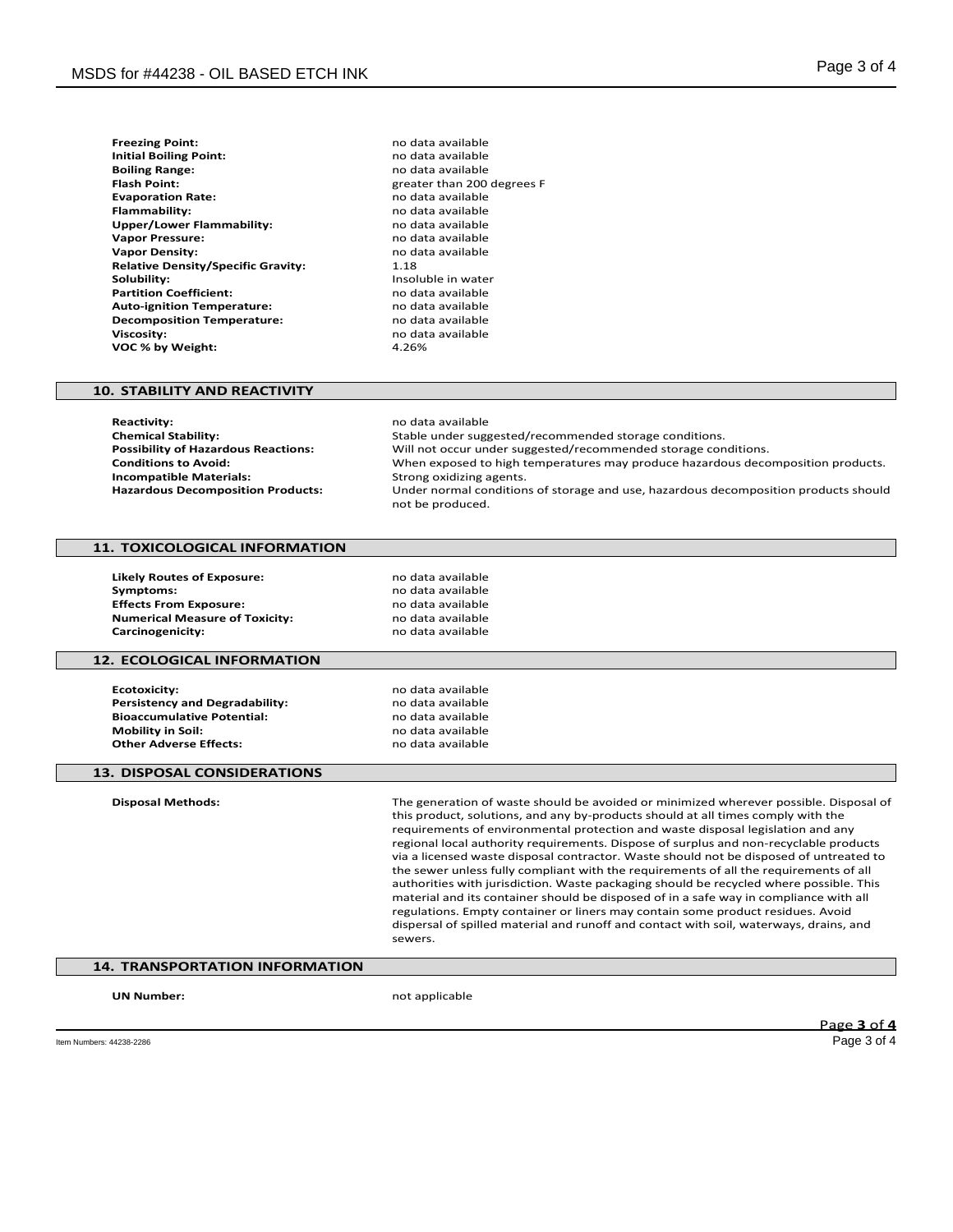| <b>Freezing Point:</b>                    | no dat |
|-------------------------------------------|--------|
| <b>Initial Boiling Point:</b>             | no dat |
| <b>Boiling Range:</b>                     | no dat |
| <b>Flash Point:</b>                       | greate |
| <b>Evaporation Rate:</b>                  | no dat |
| <b>Flammability:</b>                      | no dat |
| Upper/Lower Flammability:                 | no dat |
| <b>Vapor Pressure:</b>                    | no dat |
| <b>Vapor Density:</b>                     | no dat |
| <b>Relative Density/Specific Gravity:</b> | 1.18   |
| Solubility:                               | Insolu |
| <b>Partition Coefficient:</b>             | no dat |
| <b>Auto-ignition Temperature:</b>         | no dat |
| <b>Decomposition Temperature:</b>         | no dat |
| <b>Viscosity:</b>                         | no dat |
| VOC % by Weight:                          | 4.26%  |

**Freezing Point:** no data available **Initial Boiling Point:** no data available **Boiling Range:** no data available **Flash Point:** greater than 200 degrees F **Evaporation Rate:** no data available **Flammability:** no data available **Upper/Lower Flammability:** no data available **Vapor Pressure:** no data available no data available<br>1.18 **Insoluble in water Partition Coefficient:** no data available **Auto-ignition Temperature:** no data available **Decomposition Temperature:** no data available **Viscosity:** no data available

#### **10. STABILITY AND REACTIVITY**

**Reactivity:** no data available<br> **Chemical Stability:** Notably and the Stable under suggested by the Stable under suggested by the Stable under sugg **Chemical Stability:** Stable under suggested/recommended storage conditions. **Possibility of Hazardous Reactions:** Will not occur under suggested/recommended storage conditions.<br>Conditions to Avoid: When exposed to high temperatures may produce hazardous deco When exposed to high temperatures may produce hazardous decomposition products.<br>Strong oxidizing agents. **Incompatible Materials: Hazardous Decomposition Products:** Under normal conditions of storage and use, hazardous decomposition products should not be produced.

### **11. TOXICOLOGICAL INFORMATION**

**Likely Routes of Exposure:** no data available **Symptoms:** no data available<br>**Effects From Exposure:** exercise the mode data available **Effects From Exposure: Numerical Measure of Toxicity:** no data available<br> **Carcinogenicity:** no data available **Carcinogenicity:** 

#### **12. ECOLOGICAL INFORMATION**

**Ecotoxicity:** no data available<br> **Persistency and Degradability:** example a no data available **Persistency and Degradability:** end and a modern available<br> **Bioaccumulative Potential:** end and a modern available **Bioaccumulative Potential:**<br>Mobility in Soil: **Other Adverse Effects:** 

**Mobility in Soil:** no data available

#### **13. DISPOSAL CONSIDERATIONS**

**Disposal Methods:** The generation of waste should be avoided or minimized wherever possible. Disposal of this product, solutions, and any by-products should at all times comply with the requirements of environmental protection and waste disposal legislation and any regional local authority requirements. Dispose of surplus and non-recyclable products via a licensed waste disposal contractor. Waste should not be disposed of untreated to the sewer unless fully compliant with the requirements of all the requirements of all authorities with jurisdiction. Waste packaging should be recycled where possible. This material and its container should be disposed of in a safe way in compliance with all regulations. Empty container or liners may contain some product residues. Avoid dispersal of spilled material and runoff and contact with soil, waterways, drains, and sewers.

# **14. TRANSPORTATION INFORMATION**

**UN Number:** not applicable

Page **3** of **4**